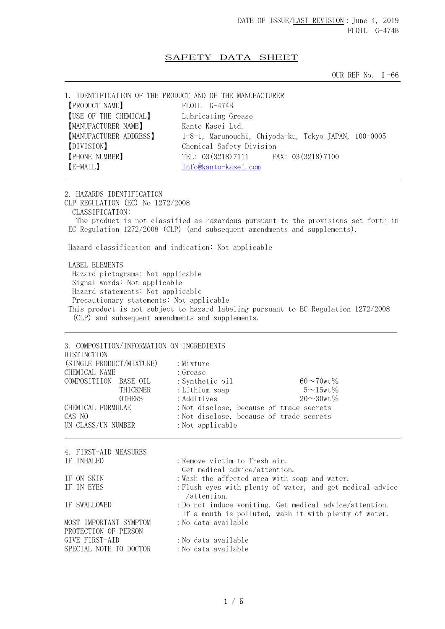## SAFETY DATA SHEET

OUR REF No.  $I - 66$ 

1. IDENTIFICATION OF THE PRODUCT AND OF THE MANUFACTURER 【PRODUCT NAME】 FLOIL G-474B 【USE OF THE CHEMICAL】 Lubricating Grease **[MANUFACTURER NAME]** Kanto Kasei Ltd. 【MANUFACTURER ADDRESS】 1-8-1, Marunouchi, Chiyoda-ku, Tokyo JAPAN, 100-0005 【DIVISION】 Chemical Safety Division **[PHONE NUMBER]** TEL: 03(3218)7111 FAX: 03(3218)7100 【E-MAIL】 info@kanto-kasei.com

2. HAZARDS IDENTIFICATION CLP REGULATION (EC) No 1272/2008 CLASSIFICATION: The product is not classified as hazardous pursuant to the provisions set forth in EC Regulation 1272/2008 (CLP) (and subsequent amendments and supplements). Hazard classification and indication: Not applicable

 LABEL ELEMENTS Hazard pictograms: Not applicable Signal words: Not applicable Hazard statements: Not applicable Precautionary statements: Not applicable This product is not subject to hazard labeling pursuant to EC Regulation 1272/2008 (CLP) and subsequent amendments and supplements.

3. COMPOSITION/INFORMATION ON INGREDIENTS **DISTINCTION** (SINGLE PRODUCT/MIXTURE) : Mixture CHEMICAL NAME : Grease  $COMPOSITION$  BASE OIL : Synthetic oil 60 $\sim$ 70wt% THICKNER : Lithium soap  $5 \sim 15$ wt% OTHERS : Additives  $20 \sim 30w t\%$ CHEMICAL FORMULAE :Not disclose, because of trade secrets CAS NO :Not disclose, because of trade secrets UN CLASS/UN NUMBER : Not applicable 4. FIRST-AID MEASURES IF INHALED : Remove victim to fresh air. Get medical advice/attention. IF ON SKIN : Wash the affected area with soap and water. IF IN EYES : Flush eyes with plenty of water, and get medical advice /attention. IF SWALLOWED :Do not induce vomiting. Get medical advice/attention. If a mouth is polluted, wash it with plenty of water. MOST IMPORTANT SYMPTOM : No data available PROTECTION OF PERSON GIVE FIRST-AID : No data available SPECIAL NOTE TO DOCTOR : No data available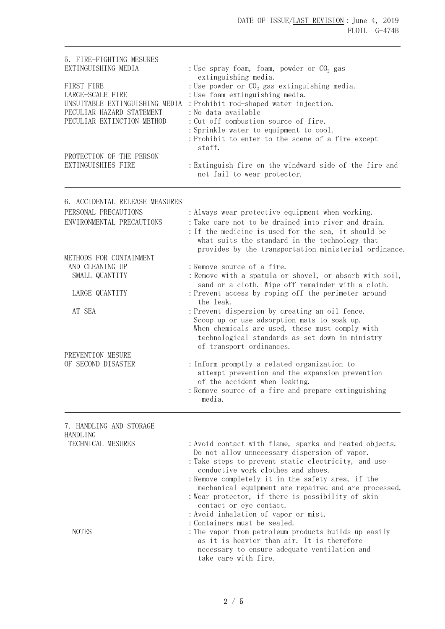| 5. FIRE-FIGHTING MESURES<br>EXTINGUISHING MEDIA                                                                             | : Use spray foam, foam, powder or $CO2$ gas<br>extinguishing media.<br>: Use powder or $CO2$ gas extinguishing media.<br>: Use foam extinguishing media.<br>: Prohibit rod-shaped water injection.<br>: No data available<br>: Cut off combustion source of fire.<br>: Sprinkle water to equipment to cool.<br>: Prohibit to enter to the scene of a fire except |  |
|-----------------------------------------------------------------------------------------------------------------------------|------------------------------------------------------------------------------------------------------------------------------------------------------------------------------------------------------------------------------------------------------------------------------------------------------------------------------------------------------------------|--|
| FIRST FIRE<br>LARGE-SCALE FIRE<br>UNSUITABLE EXTINGUISHING MEDIA<br>PECULIAR HAZARD STATEMENT<br>PECULIAR EXTINCTION METHOD |                                                                                                                                                                                                                                                                                                                                                                  |  |
| PROTECTION OF THE PERSON<br>EXTINGUISHIES FIRE                                                                              | staff.<br>: Extinguish fire on the windward side of the fire and<br>not fail to wear protector.                                                                                                                                                                                                                                                                  |  |
| 6. ACCIDENTAL RELEASE MEASURES                                                                                              |                                                                                                                                                                                                                                                                                                                                                                  |  |
| PERSONAL PRECAUTIONS<br>ENVIRONMENTAL PRECAUTIONS                                                                           | : Always wear protective equipment when working.<br>: Take care not to be drained into river and drain.<br>: If the medicine is used for the sea, it should be<br>what suits the standard in the technology that<br>provides by the transportation ministerial ordinance.                                                                                        |  |
| METHODS FOR CONTAINMENT<br>AND CLEANING UP<br>SMALL QUANTITY                                                                | : Remove source of a fire.<br>: Remove with a spatula or shovel, or absorb with soil,<br>sand or a cloth. Wipe off remainder with a cloth.                                                                                                                                                                                                                       |  |
| LARGE QUANTITY                                                                                                              | : Prevent access by roping off the perimeter around<br>the leak.                                                                                                                                                                                                                                                                                                 |  |
| AT SEA<br>PREVENTION MESURE                                                                                                 | : Prevent dispersion by creating an oil fence.<br>Scoop up or use adsorption mats to soak up.<br>When chemicals are used, these must comply with<br>technological standards as set down in ministry<br>of transport ordinances.                                                                                                                                  |  |
| OF SECOND DISASTER                                                                                                          | : Inform promptly a related organization to<br>attempt prevention and the expansion prevention<br>of the accident when leaking.<br>: Remove source of a fire and prepare extinguishing<br>media.                                                                                                                                                                 |  |
| 7. HANDLING AND STORAGE<br><b>HANDLING</b>                                                                                  |                                                                                                                                                                                                                                                                                                                                                                  |  |
| TECHNICAL MESURES                                                                                                           | : Avoid contact with flame, sparks and heated objects.                                                                                                                                                                                                                                                                                                           |  |

Do not allow unnecessary dispersion of vapor.

- :Take steps to prevent static electricity, and use conductive work clothes and shoes.
- :Remove completely it in the safety area, if the mechanical equipment are repaired and are processed.
- :Wear protector, if there is possibility of skin contact or eye contact.
- :Avoid inhalation of vapor or mist.
- :Containers must be sealed.
- NOTES : The vapor from petroleum products builds up easily as it is heavier than air. It is therefore necessary to ensure adequate ventilation and take care with fire.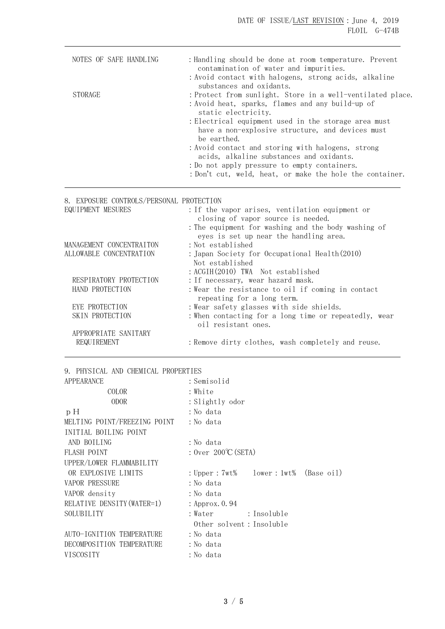DATE OF ISSUE/LAST REVISION: June 4, 2019 FLOIL G-474B

| NOTES OF SAFE HANDLING                                                      | : Handling should be done at room temperature. Prevent<br>contamination of water and impurities.                        |
|-----------------------------------------------------------------------------|-------------------------------------------------------------------------------------------------------------------------|
|                                                                             | : Avoid contact with halogens, strong acids, alkaline                                                                   |
|                                                                             | substances and oxidants.                                                                                                |
| <b>STORAGE</b>                                                              | : Protect from sunlight. Store in a well-ventilated place.                                                              |
|                                                                             | : Avoid heat, sparks, flames and any build-up of<br>static electricity.                                                 |
|                                                                             | : Electrical equipment used in the storage area must<br>have a non-explosive structure, and devices must<br>be earthed. |
|                                                                             | : Avoid contact and storing with halogens, strong                                                                       |
|                                                                             | acids, alkaline substances and oxidants.                                                                                |
|                                                                             | : Do not apply pressure to empty containers.                                                                            |
|                                                                             | : Don't cut, weld, heat, or make the hole the container.                                                                |
|                                                                             |                                                                                                                         |
| 8. EXPOSURE CONTROLS/PERSONAL PROTECTION                                    |                                                                                                                         |
|                                                                             | : If the vapor arises, ventilation equipment or                                                                         |
|                                                                             | closing of vapor source is needed.                                                                                      |
| EQUIPMENT MESURES                                                           | : The equipment for washing and the body washing of<br>eyes is set up near the handling area.                           |
|                                                                             | : Not established                                                                                                       |
|                                                                             | : Japan Society for Occupational Health(2010)                                                                           |
|                                                                             | Not established                                                                                                         |
|                                                                             | : ACGIH(2010) TWA Not established                                                                                       |
| RESPIRATORY PROTECTION                                                      | : If necessary, wear hazard mask.                                                                                       |
| HAND PROTECTION                                                             | : Wear the resistance to oil if coming in contact                                                                       |
| EYE PROTECTION                                                              | repeating for a long term.<br>: Wear safety glasses with side shields.                                                  |
| SKIN PROTECTION                                                             | : When contacting for a long time or repeatedly, wear<br>oil resistant ones.                                            |
| MANAGEMENT CONCENTRAITON<br>ALLOWABLE CONCENTRATION<br>APPROPRIATE SANITARY |                                                                                                                         |

| APPEARANCE                   | : Semisolid                                |  |
|------------------------------|--------------------------------------------|--|
| COLOR                        | : White                                    |  |
| <b>ODOR</b>                  | : Slightly odor                            |  |
| pН                           | : No data                                  |  |
| MELTING POINT/FREEZING POINT | : No data                                  |  |
| INITIAL BOILING POINT        |                                            |  |
| AND BOILING                  | :No data                                   |  |
| <b>FLASH POINT</b>           | : Over $200^{\circ}$ C (SETA)              |  |
| UPPER/LOWER FLAMMABILITY     |                                            |  |
| OR EXPLOSIVE LIMITS          | : Upper : $7wt\$ lower : $1wt\$ (Base oil) |  |
| VAPOR PRESSURE               | : No data                                  |  |
| VAPOR density                | : No data                                  |  |
| RELATIVE DENSITY (WATER=1)   | : Approx. 0.94                             |  |
| SOLUBILITY                   |                                            |  |
|                              | Other solvent: Insoluble                   |  |
| AUTO-IGNITION TEMPERATURE    | :No data                                   |  |
| DECOMPOSITION TEMPERATURE    | : No data                                  |  |
| <b>VISCOSITY</b>             | :No data                                   |  |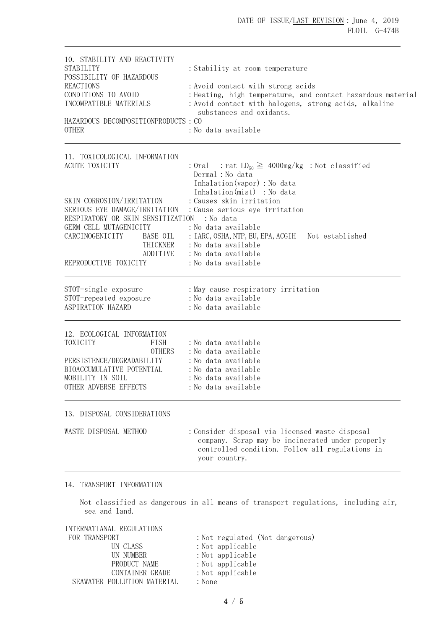| 10. STABILITY AND REACTIVITY<br><b>STABILITY</b><br>POSSIBILITY OF HAZARDOUS<br><b>REACTIONS</b><br>CONDITIONS TO AVOID<br>INCOMPATIBLE MATERIALS<br>HAZARDOUS DECOMPOSITIONPRODUCTS : CO<br><b>OTHER</b>           | : Stability at room temperature<br>: Avoid contact with strong acids<br>: Heating, high temperature, and contact hazardous material<br>: Avoid contact with halogens, strong acids, alkaline<br>substances and oxidants.<br>:No data available |  |
|---------------------------------------------------------------------------------------------------------------------------------------------------------------------------------------------------------------------|------------------------------------------------------------------------------------------------------------------------------------------------------------------------------------------------------------------------------------------------|--|
| 11. TOXICOLOGICAL INFORMATION<br>ACUTE TOXICITY                                                                                                                                                                     | : Oral : rat $LD_{50} \ge 4000$ mg/kg : Not classified<br>Dermal : No data<br>Inhalation (vapor) : No data                                                                                                                                     |  |
| SKIN CORROSION/IRRITATION<br>SERIOUS EYE DAMAGE/IRRITATION<br>RESPIRATORY OR SKIN SENSITIZATION : No data<br>GERM CELL MUTAGENICITY<br>BASE OIL<br>CARCINOGENICITY<br>THICKNER<br>ADDITIVE<br>REPRODUCTIVE TOXICITY | Inhalation(mist) : No data<br>: Causes skin irritation<br>: Cause serious eye irritation<br>:No data available<br>: IARC, OSHA, NTP, EU, EPA, ACGIH Not established<br>: No data available<br>: No data available<br>: No data available       |  |
| STOT-single exposure<br>STOT-repeated exposure<br>ASPIRATION HAZARD                                                                                                                                                 | : May cause respiratory irritation<br>: No data available<br>: No data available                                                                                                                                                               |  |
| 12. ECOLOGICAL INFORMATION<br>TOXICITY<br>FISH<br><b>OTHERS</b><br>PERSISTENCE/DEGRADABILITY<br>BIOACCUMULATIVE POTENTIAL<br>MOBILITY IN SOIL<br>OTHER ADVERSE EFFECTS                                              | : No data available<br>: No data available<br>: No data available<br>:No data available<br>:No data available<br>:No data available                                                                                                            |  |
| 13. DISPOSAL CONSIDERATIONS                                                                                                                                                                                         |                                                                                                                                                                                                                                                |  |
| WASTE DISPOSAL METHOD                                                                                                                                                                                               | : Consider disposal via licensed waste disposal<br>company. Scrap may be incinerated under properly<br>controlled condition. Follow all regulations in<br>your country.                                                                        |  |
| 14. TRANSPORT INFORMATION                                                                                                                                                                                           |                                                                                                                                                                                                                                                |  |
| sea and land.                                                                                                                                                                                                       | Not classified as dangerous in all means of transport regulations, including air,                                                                                                                                                              |  |
| INTERNATIANAL REGULATIONS<br>FOR TRANSPORT                                                                                                                                                                          | : Not regulated (Not dangerous)                                                                                                                                                                                                                |  |

| TURT TIVEROLUN T            | . Not regurated that daily cro |
|-----------------------------|--------------------------------|
| UN CLASS                    | : Not applicable               |
| UN NUMBER                   | : Not applicable               |
| PRODUCT NAME                | : Not applicable               |
| CONTAINER GRADE             | $:$ Not applicable             |
| SEAWATER POLLUTION MATERIAL | : None                         |
|                             |                                |